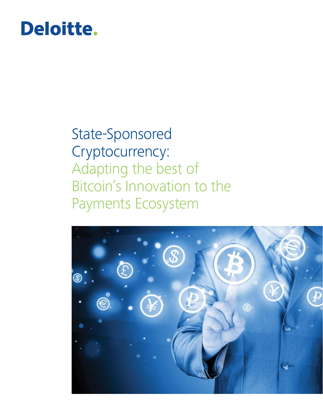# Deloitte.

# State-Sponsored Cryptocurrency: Adapting the best of Bitcoin's Innovation to the Payments Ecosystem

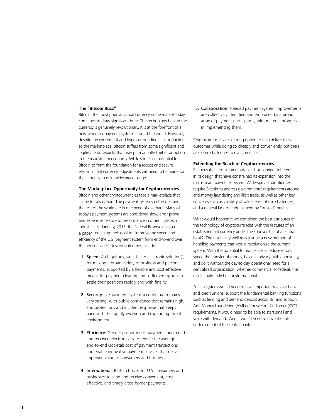### **The "Bitcoin Buzz"**

Bitcoin, the most popular virtual currency in the market today, continues to draw significant buzz. The technology behind the currency is genuinely revolutionary. It is at the forefront of a new world for payment systems around the world. However, despite the excitement and hype surrounding its introduction to the marketplace, Bitcoin suffers from some significant and legitimate drawbacks that may permanently limit its adoption in the mainstream economy. While some see potential for Bitcoin to form the foundation for a robust and secure electronic fiat currency, adjustments will need to be made for the currency to gain widespread usage.

#### **The Marketplace Opportunity for Cryptocurrencies**

Bitcoin and other cryptocurrencies face a marketplace that is ripe for disruption. The payment systems in the U.S. and the rest of the world are in dire need of overhaul. Many of today's payment systems are considered slow, error-prone and expensive relative to performance in other high-tech industries. In January, 2015, the Federal Reserve released a paper<sup>1</sup> outlining their goal to "improve the speed and efficiency of the U.S. payment system from end-to-end over the next decade." Desired outcomes include:

- 1. Speed: A ubiquitous, safe, faster electronic solution(s) for making a broad variety of business and personal payments, supported by a flexible and cost-effective means for payment clearing and settlement groups to settle their positions rapidly and with finality.
- 2. Security: U.S payment system security that remains very strong, with public confidence that remains high, and protections and incident response that keeps pace with the rapidly evolving and expanding threat environment.
- 3. Efficiency: Greater proportion of payments originated and received electronically to reduce the average end-to-end (societal) cost of payment transactions and enable innovative payment services that deliver improved value to consumers and businesses.
- 4. International: Better choices for U.S. consumers and businesses to send and receive convenient, costeffective, and timely cross-border payments.

5. Collaboration: Needed payment system improvements are collectively identified and embraced by a broad array of payment participants, with material progress in implementing them.

Cryptocurrencies are a strong option to help deliver these outcomes while doing so cheaply and conveniently, but there are some challenges to overcome first.

#### **Extending the Reach of Cryptocurrencies**

Bitcoin suffers from some notable shortcomings inherent in its design that have constrained its expansion into the mainstream payments system. Wide-spread adoption will require Bitcoin to address governmental requirements around anti-money laundering and illicit trade, as well as other key concerns such as volatility of value, ease of use challenges, and a general lack of endorsement by "trusted" bodies.

What would happen if we combined the best attributes of the technology of cryptocurrencies with the features of an established fiat currency under the sponsorship of a central bank? The result very well may just be a new method of handling payments that would revolutionize the current system. With the potential to reduce costs, reduce errors, speed the transfer of money, balance privacy with anonymity, and do it without the day-to-day operational need for a centralized organization, whether commercial or federal, the result could truly be transformational.

Such a system would need to have important roles for banks and credit unions, support the fundamental banking functions such as lending and demand deposit accounts, and support Anti-Money Laundering (AML) / Know Your Customer (KYC) requirements. It would need to be able to start small and scale with demand. And it would need to have the full endorsement of the central bank.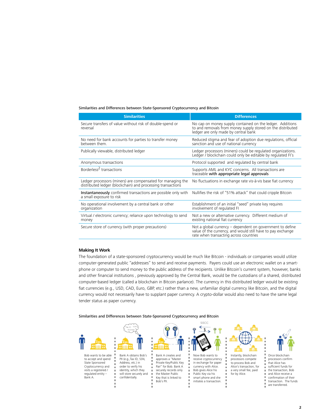#### Similarities and Differences between State-Sponsored Cryptocurrency and Bitcoin

| <b>Similarities</b>                                                                                                        | <b>Differences</b>                                                                                                                                                 |
|----------------------------------------------------------------------------------------------------------------------------|--------------------------------------------------------------------------------------------------------------------------------------------------------------------|
| Secure transfers of value without risk of double-spend or<br>reversal                                                      | No cap on money supply contained on the ledger. Additions<br>to and removals from money supply stored on the distributed<br>ledger are only made by central bank   |
| No need for bank accounts for parties to transfer money<br>hetween them                                                    | Reduced stigma and fear of adoption due regulations, official<br>sanction and use of national currency                                                             |
| Publically viewable, distributed ledger                                                                                    | Ledger processors (miners) could be regulated organizations.<br>Ledger / blockchain could only be editable by regulated FI's                                       |
| Anonymous transactions                                                                                                     | Protocol supported and regulated by central bank                                                                                                                   |
| Borderless <sup>2</sup> transactions                                                                                       | Supports AML and KYC concerns. All transactions are<br>traceable with appropriate legal approvals                                                                  |
| Ledger processors (miners) are compensated for managing the<br>distributed ledger (blockchain) and processing transactions | No fluctuations in exchange rate vis-à-vis base fiat currency                                                                                                      |
| Instantaneously confirmed transactions are possible only with<br>a small exposure to risk                                  | Nullifies the risk of "51% attack" that could cripple Bitcoin                                                                                                      |
| No operational involvement by a central bank or other<br>organization                                                      | Establishment of an initial "seed" private key requires<br>involvement of regulated FI                                                                             |
| Virtual / electronic currency; reliance upon technology to send<br>money                                                   | Not a new or alternative currency. Different medium of<br>existing national fiat currency                                                                          |
| Secure store of currency (with proper precautions)                                                                         | Not a global currency - dependent on government to define<br>value of the currency, and would still have to pay exchange<br>rate when transacting across countries |

# **Making It Work**

The foundation of a state-sponsored cryptocurrency would be much like Bitcoin - individuals or companies would utilize computer-generated public "addresses" to send and receive payments. Payers could use an electronic wallet on a smartphone or computer to send money to the public address of the recipients. Unlike Bitcoin's current system, however, banks and other financial institutions , previously approved by the Central Bank, would be the custodians of a shared, distributed computer-based ledger (called a blockchain in Bitcoin parlance). The currency in this distributed ledger would be existing fiat currencies (e.g., USD, CAD, Euro, GBP, etc.) rather than a new, unfamiliar digital currency like Bitcoin, and the digital currency would not necessarily have to supplant paper currency. A crypto-dollar would also need to have the same legal tender status as paper currency.

Similarities and Differences between State-Sponsored Cryptocurrency and Bitcoin

order to verify his identity, which they

confidentially.



Bob wants to be able to accept and spend State Sponsored Cryptocurrency and visits a registered / regulated entity – Bank A.



Bank A creates and approves a "Master Private Key/Public Key the Master Public Key that is linked to Bob's PII.



Now Bob wants to receive cryptocurrency in exchange for paper currency with Alice. Bob gives Alice his Public Key via his smart phone and she initiates a transaction.



to process Bob and Alice's transaction, for a very small fee, paid for by Alice.



Once blockchain processors confirm

- that Alice has
- sufficient funds for the transaction, Bob
- and Alice receive a
- confirmation of their transaction. The funds
- are transferred.

PII (e.g.,Tax ID, SSN, Address, etc.) in will store securely and Pair" for Bob. Bank A securely records only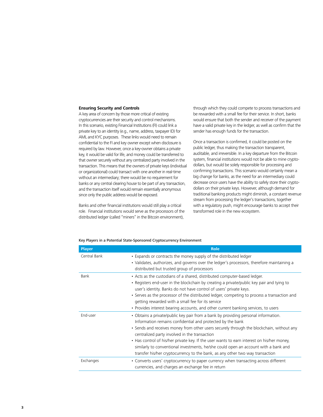#### **Ensuring Security and Controls**

A key area of concern by those more critical of existing cryptocurrencies are their security and control mechanisms. In this scenario, existing Financial Institutions (FI) could link a private key to an identity (e.g., name, address, taxpayer ID) for AML and KYC purposes. These links would need to remain confidential to the FI and key owner except when disclosure is required by law. However, once a key-owner obtains a private key, it would be valid for life, and money could be transferred to that owner securely without any centralized party involved in the transaction. This means that the owners of private keys (individual or organizational) could transact with one another in real-time without an intermediary; there would be no requirement for banks or any central clearing house to be part of any transaction, and the transaction itself would remain essentially anonymous since only the public address would be exposed.

Banks and other financial institutions would still play a critical role. Financial institutions would serve as the processors of the distributed ledger (called "miners" in the Bitcoin environment),

through which they could compete to process transactions and be rewarded with a small fee for their service. In short, banks would ensure that both the sender and receiver of the payment have a valid private key in the ledger, as well as confirm that the sender has enough funds for the transaction.

Once a transaction is confirmed, it could be posted on the public ledger, thus making the transaction transparent, auditable, and irreversible. In a key departure from the Bitcoin system, financial institutions would not be able to mine cryptodollars, but would be solely responsible for processing and confirming transactions. This scenario would certainly mean a big change for banks, as the need for an intermediary could decrease once users have the ability to safely store their cryptodollars on their private keys. However, although demand for traditional banking products might diminish, a constant revenue stream from processing the ledger's transactions, together with a regulatory push, might encourage banks to accept their transformed role in the new ecosystem.

| Key Players in a Potential State-Sponsored Cryptocurrency Environment |  |
|-----------------------------------------------------------------------|--|
|                                                                       |  |

| <b>Player</b> | <b>Role</b>                                                                                                                                                                                                                                                                                                                                                                                                                                                                                                                                                         |  |  |
|---------------|---------------------------------------------------------------------------------------------------------------------------------------------------------------------------------------------------------------------------------------------------------------------------------------------------------------------------------------------------------------------------------------------------------------------------------------------------------------------------------------------------------------------------------------------------------------------|--|--|
| Central Bank  | • Expands or contracts the money supply of the distributed ledger<br>• Validates, authorizes, and governs over the ledger's processors, therefore maintaining a<br>distributed but trusted group of processors                                                                                                                                                                                                                                                                                                                                                      |  |  |
| Bank          | • Acts as the custodians of a shared, distributed computer-based ledger.<br>• Registers end-user in the blockchain by creating a private/public key pair and tying to<br>user's identity. Banks do not have control of users' private keys.<br>• Serves as the processor of the distributed ledger, competing to process a transaction and<br>getting rewarded with a small fee for its service<br>• Provides interest bearing accounts, and other current banking services, to users                                                                               |  |  |
| End-user      | • Obtains a private/public key pair from a bank by providing personal information.<br>Information remains confidential and protected by the bank<br>• Sends and receives money from other users securely through the blockchain, without any<br>centralized party involved in the transaction<br>• Has control of his/her private key. If the user wants to earn interest on his/her money,<br>similarly to conventional investments, he/she could open an account with a bank and<br>transfer his/her cryptocurrency to the bank, as any other two way transaction |  |  |
| Exchanges     | • Converts users' cryptocurrency to paper currency when transacting across different<br>currencies, and charges an exchange fee in return                                                                                                                                                                                                                                                                                                                                                                                                                           |  |  |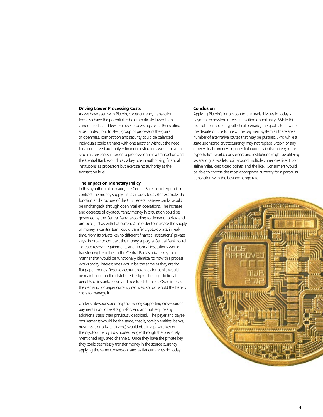#### **Driving Lower Processing Costs**

As we have seen with Bitcoin, cryptocurrency transaction fees also have the potential to be dramatically lower than current credit card fees or check processing costs. By creating a distributed, but trusted, group of processors the goals of openness, competition and security could be balanced. Individuals could transact with one another without the need for a centralized authority – financial institutions would have to reach a consensus in order to process/confirm a transaction and the Central Bank would play a key role in authorizing financial institutions as processors but exercise no authority at the transaction level.

# **The Impact on Monetary Policy**

In this hypothetical scenario, the Central Bank could expand or contract the money supply just as it does today (for example, the function and structure of the U.S. Federal Reserve banks would be unchanged), through open market operations. The increase and decrease of cryptocurrency money in circulation could be governed by the Central Bank, according to demand, policy, and protocol (just as with fiat currency). In order to increase the supply of money, a Central Bank could transfer crypto-dollars, in realtime, from its private key to different financial institutions' private keys. In order to contract the money supply, a Central Bank could increase reserve requirements and financial institutions would transfer crypto-dollars to the Central Bank's private key, in a manner that would be functionally identical to how this process works today. Interest rates would be the same as they are for fiat paper money. Reserve account balances for banks would be maintained on the distributed ledger, offering additional benefits of instantaneous and free funds transfer. Over time, as the demand for paper currency reduces, so too would the bank's costs to manage it.

Under state-sponsored cryptocurrency, supporting cross-border payments would be straight-forward and not require any additional steps than previously described. The payer and payee requirements would be the same; that is, foreign entities (banks, businesses or private citizens) would obtain a private key on the cryptocurrency's distributed ledger through the previously mentioned regulated channels. Once they have the private key, they could seamlessly transfer money in the source currency, applying the same conversion rates as fiat currencies do today.

#### **Conclusion**

Applying Bitcoin's innovation to the myriad issues in today's payment ecosystem offers an exciting opportunity. While this highlights only one hypothetical scenario, the goal is to advance the debate on the future of the payment system as there are a number of alternative routes that may be pursued. And while a state-sponsored cryptocurrency may not replace Bitcoin or any other virtual currency or paper fiat currency in its entirety, in this hypothetical world, consumers and institutions might be utilizing several digital wallets built around multiple currencies like Bitcoin, airline miles, credit card points, and the like. Consumers would be able to choose the most appropriate currency for a particular transaction with the best exchange rate.

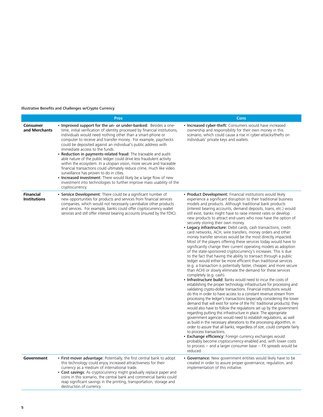# Illustrative Benefits and Challenges w/Crypto Currency

|                                         | <b>Pros</b>                                                                                                                                                                                                                                                                                                                                                                                                                                                                                                                                                                                                                                                                                                                                                                                                                                                                                    | <b>Cons</b>                                                                                                                                                                                                                                                                                                                                                                                                                                                                                                                                                                                                                                                                                                                                                                                                                                                                                                                                                                                                                                                                                                                                                                                                                                                                                                                                                                                                                                                                                                                                                                                                                                                                                                                                                                                                                                                                                                                                                                                                                                                                                                                                                                                                |
|-----------------------------------------|------------------------------------------------------------------------------------------------------------------------------------------------------------------------------------------------------------------------------------------------------------------------------------------------------------------------------------------------------------------------------------------------------------------------------------------------------------------------------------------------------------------------------------------------------------------------------------------------------------------------------------------------------------------------------------------------------------------------------------------------------------------------------------------------------------------------------------------------------------------------------------------------|------------------------------------------------------------------------------------------------------------------------------------------------------------------------------------------------------------------------------------------------------------------------------------------------------------------------------------------------------------------------------------------------------------------------------------------------------------------------------------------------------------------------------------------------------------------------------------------------------------------------------------------------------------------------------------------------------------------------------------------------------------------------------------------------------------------------------------------------------------------------------------------------------------------------------------------------------------------------------------------------------------------------------------------------------------------------------------------------------------------------------------------------------------------------------------------------------------------------------------------------------------------------------------------------------------------------------------------------------------------------------------------------------------------------------------------------------------------------------------------------------------------------------------------------------------------------------------------------------------------------------------------------------------------------------------------------------------------------------------------------------------------------------------------------------------------------------------------------------------------------------------------------------------------------------------------------------------------------------------------------------------------------------------------------------------------------------------------------------------------------------------------------------------------------------------------------------------|
| Consumer<br>and Merchants               | • Improved support for the un- or under-banked: Besides a one-<br>time, initial verification of identity processed by financial institutions,<br>individuals would need nothing other than a smart-phone or<br>computer to receive and transfer money. For example, paychecks<br>could be deposited against an individual's public address with<br>immediate access to the funds.<br>Reduction in payments-related fraud: The traceable and audit-<br>able nature of the public ledger could drive less fraudulent activity<br>within the ecosystem. In a utopian vision, more secure and traceable<br>financial transactions could ultimately reduce crime, much like video<br>surveillance has proven to do in cities.<br><b>Increased investment:</b> There would likely be a large flow of new<br>investment into technologies to further improve mass usability of the<br>cryptocurrency. | • Increased cyber-theft: Consumers would have increased<br>ownership and responsibility for their own money in this<br>scenario, which could cause a rise in cyber-attacks/thefts on<br>individuals' private keys and wallets.                                                                                                                                                                                                                                                                                                                                                                                                                                                                                                                                                                                                                                                                                                                                                                                                                                                                                                                                                                                                                                                                                                                                                                                                                                                                                                                                                                                                                                                                                                                                                                                                                                                                                                                                                                                                                                                                                                                                                                             |
| <b>Financial</b><br><b>Institutions</b> | • Service Development: There could be a significant number of<br>new opportunities for products and services from financial services<br>companies, which would not necessarily cannibalize other products<br>and services. For example, banks could offer cryptocurrency wallet<br>services and still offer interest bearing accounts (insured by the FDIC).                                                                                                                                                                                                                                                                                                                                                                                                                                                                                                                                   | • Product Development: Financial institutions would likely<br>experience a significant disruption to their traditional business<br>models and products. Although traditional bank products<br>(interest bearing accounts, demand deposits, loans, etc.) would<br>still exist, banks might have to raise interest rates or develop<br>new products to attract end-users who now have the option of<br>securely storing their own money.<br>• Legacy infrastructure: Debit cards, cash transactions, credit<br>card networks, ACH, wire transfers, money orders and other<br>money transfer services would be the most directly impacted.<br>Most of the players offering these services today would have to<br>significantly change their current operating models as adoption<br>of the state-sponsored cryptocurrency's increases. This is due<br>to the fact that having the ability to transact through a public<br>ledger would either be more efficient than traditional services<br>(e.g. a transaction is potentially faster, cheaper, and more secure<br>than ACH) or slowly eliminate the demand for these services<br>completely (e.g. cash).<br>• Infrastructure build: Banks would need to incur the costs of<br>establishing the proper technology infrastructure for processing and<br>validating crypto-dollar transactions. Financial institutions would<br>do this in order to have access to a constant revenue stream from<br>processing the ledger's transactions (especially considering the lower<br>demand that will exist for some of the FIs' traditional products); they<br>would also have to follow the regulations set up by the government<br>regarding putting this infrastructure in place. The appropriate<br>government agencies would need to establish regulations, as well<br>as build in the necessary alterations to the processing algorithm, in<br>order to assure that all banks, regardless of size, could compete fairly<br>to process transactions.<br>• Exchange efficiency: Foreign currency exchanges would<br>probably become cryptocurrency-enabled and, with lower costs<br>to process -- and a larger consumer base -- FX spreads would be<br>reduced. |
| Government                              | • First-mover advantage: Potentially, the first central bank to adopt<br>this technology could enjoy increased attractiveness for their<br>currency as a medium of international trade.<br>• Cost savings: As cryptocurrency might gradually replace paper and<br>coins in this scenario, the central bank and commercial banks could<br>reap significant savings in the printing, transportation, storage and<br>destruction of currency.                                                                                                                                                                                                                                                                                                                                                                                                                                                     | • Governance: New government entities would likely have to be<br>created in order to assure proper governance, regulation, and<br>implementation of this initiative.                                                                                                                                                                                                                                                                                                                                                                                                                                                                                                                                                                                                                                                                                                                                                                                                                                                                                                                                                                                                                                                                                                                                                                                                                                                                                                                                                                                                                                                                                                                                                                                                                                                                                                                                                                                                                                                                                                                                                                                                                                       |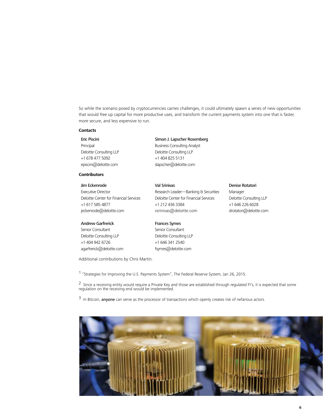So while the scenario posed by cryptocurrencies carries challenges, it could ultimately spawn a series of new opportunities that would free up capital for more productive uses, and transform the current payments system into one that is faster, more secure, and less expensive to run.

# **Contacts**

Eric Piscini Principal Deloitte Consulting LLP +1 678 477 5092 episcini@deloitte.com

# **Contributors**

# Jim Eckenrode

Executive Director Deloitte Center for Financial Services +1 617 585 4877 jeckenrode@deloitte.com

#### Andrew Garfrerick

Senior Consultant Deloitte Consulting LLP +1 404 942 6726 agarfrerick@deloitte.com

# Simon J. Lapscher Rosemberg

Business Consulting Analyst Deloitte Consulting LLP +1 404 825 5131 slapscher@deloitte.com

# Val Srinivas

Research Leader—Banking & Securities Deloitte Center for Financial Services +1 212 436 3384 vsrinivas@deloitte.com

# Frances Symes

Senior Consultant Deloitte Consulting LLP +1 646 341 2540 fsymes@deloitte.com

# Denise Rotatori

Manager Deloitte Consulting LLP +1 646 226 6028 drotatori@deloitte.com

Additional contributions by Chris Martin.

1 "Strategies for Improving the U.S. Payments System", The Federal Reserve System, Jan 26, 2015.

 $^2$  Since a receiving entity would require a Private Key and those are established through regulated FI's, it is expected that some regulation on the receiving end would be implemented.

<sup>3</sup> In Bitcoin, anyone can serve as the processor of transactions which openly creates risk of nefarious actors.